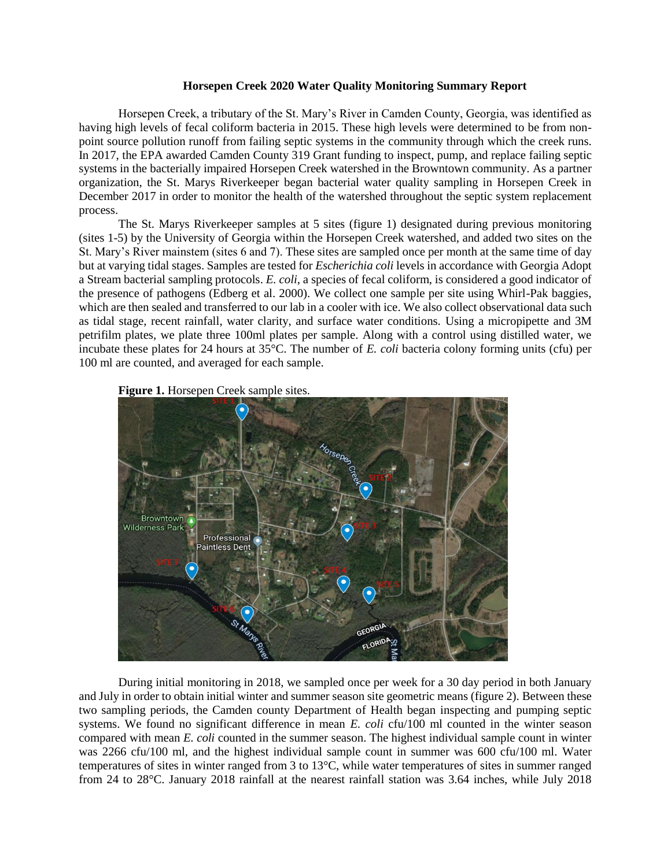## **Horsepen Creek 2020 Water Quality Monitoring Summary Report**

Horsepen Creek, a tributary of the St. Mary's River in Camden County, Georgia, was identified as having high levels of fecal coliform bacteria in 2015. These high levels were determined to be from nonpoint source pollution runoff from failing septic systems in the community through which the creek runs. In 2017, the EPA awarded Camden County 319 Grant funding to inspect, pump, and replace failing septic systems in the bacterially impaired Horsepen Creek watershed in the Browntown community. As a partner organization, the St. Marys Riverkeeper began bacterial water quality sampling in Horsepen Creek in December 2017 in order to monitor the health of the watershed throughout the septic system replacement process.

The St. Marys Riverkeeper samples at 5 sites (figure 1) designated during previous monitoring (sites 1-5) by the University of Georgia within the Horsepen Creek watershed, and added two sites on the St. Mary's River mainstem (sites 6 and 7). These sites are sampled once per month at the same time of day but at varying tidal stages. Samples are tested for *Escherichia coli* levels in accordance with Georgia Adopt a Stream bacterial sampling protocols. *E. coli*, a species of fecal coliform, is considered a good indicator of the presence of pathogens (Edberg et al. 2000). We collect one sample per site using Whirl-Pak baggies, which are then sealed and transferred to our lab in a cooler with ice. We also collect observational data such as tidal stage, recent rainfall, water clarity, and surface water conditions. Using a micropipette and 3M petrifilm plates, we plate three 100ml plates per sample. Along with a control using distilled water, we incubate these plates for 24 hours at 35°C. The number of *E. coli* bacteria colony forming units (cfu) per 100 ml are counted, and averaged for each sample.



**Figure 1.** Horsepen Creek sample sites.

During initial monitoring in 2018, we sampled once per week for a 30 day period in both January and July in order to obtain initial winter and summer season site geometric means (figure 2). Between these two sampling periods, the Camden county Department of Health began inspecting and pumping septic systems. We found no significant difference in mean *E. coli* cfu/100 ml counted in the winter season compared with mean *E. coli* counted in the summer season. The highest individual sample count in winter was 2266 cfu/100 ml, and the highest individual sample count in summer was 600 cfu/100 ml. Water temperatures of sites in winter ranged from 3 to 13°C, while water temperatures of sites in summer ranged from 24 to 28°C. January 2018 rainfall at the nearest rainfall station was 3.64 inches, while July 2018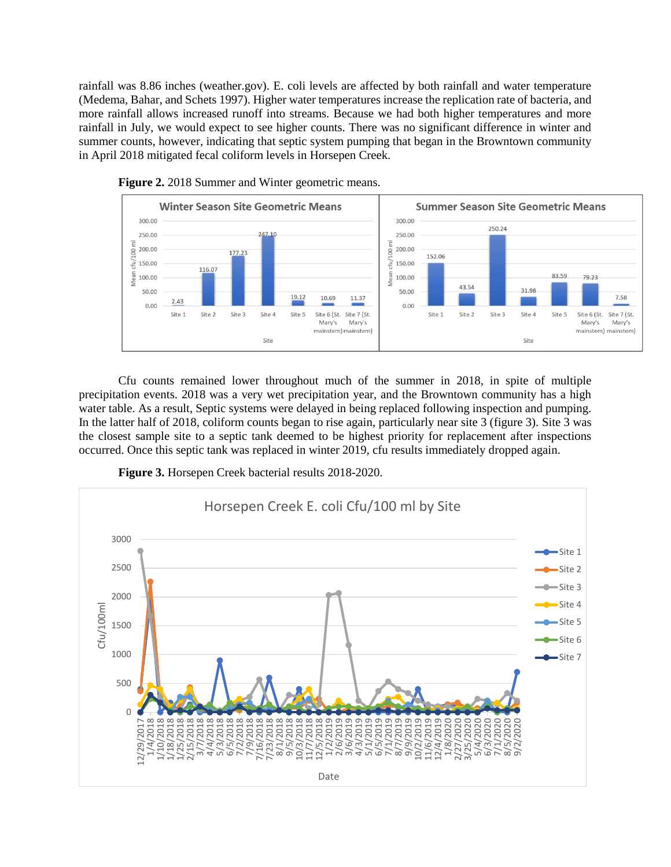rainfall was 8.86 inches (weather.gov). E. coli levels are affected by both rainfall and water temperature (Medema, Bahar, and Schets 1997). Higher water temperatures increase the replication rate of bacteria, and more rainfall allows increased runoff into streams. Because we had both higher temperatures and more rainfall in July, we would expect to see higher counts. There was no significant difference in winter and summer counts, however, indicating that septic system pumping that began in the Browntown community in April 2018 mitigated fecal coliform levels in Horsepen Creek.





Cfu counts remained lower throughout much of the summer in 2018, in spite of multiple precipitation events. 2018 was a very wet precipitation year, and the Browntown community has a high water table. As a result, Septic systems were delayed in being replaced following inspection and pumping. In the latter half of 2018, coliform counts began to rise again, particularly near site 3 (figure 3). Site 3 was the closest sample site to a septic tank deemed to be highest priority for replacement after inspections occurred. Once this septic tank was replaced in winter 2019, cfu results immediately dropped again.

**Figure 3.** Horsepen Creek bacterial results 2018-2020.

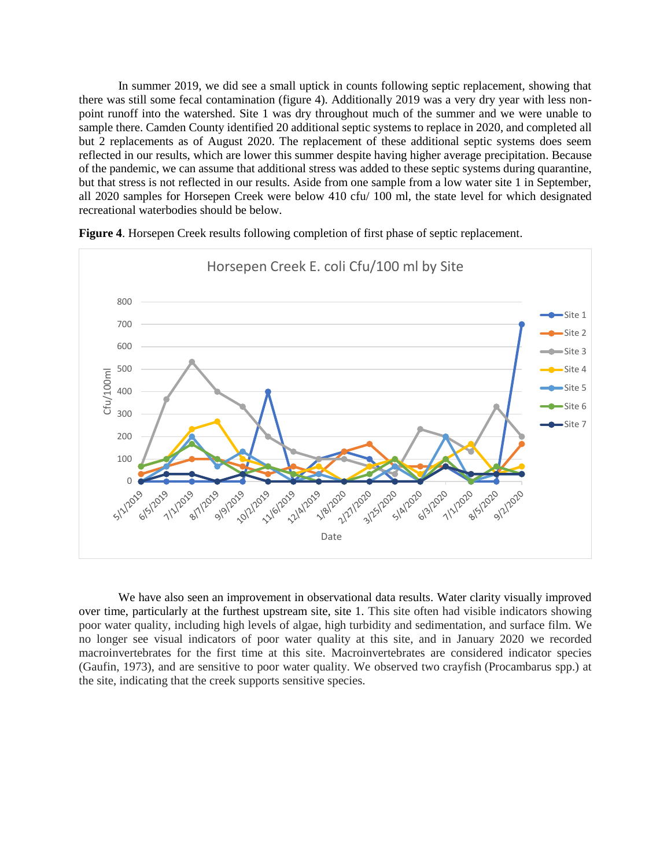In summer 2019, we did see a small uptick in counts following septic replacement, showing that there was still some fecal contamination (figure 4). Additionally 2019 was a very dry year with less nonpoint runoff into the watershed. Site 1 was dry throughout much of the summer and we were unable to sample there. Camden County identified 20 additional septic systems to replace in 2020, and completed all but 2 replacements as of August 2020. The replacement of these additional septic systems does seem reflected in our results, which are lower this summer despite having higher average precipitation. Because of the pandemic, we can assume that additional stress was added to these septic systems during quarantine, but that stress is not reflected in our results. Aside from one sample from a low water site 1 in September, all 2020 samples for Horsepen Creek were below 410 cfu/ 100 ml, the state level for which designated recreational waterbodies should be below.



**Figure 4**. Horsepen Creek results following completion of first phase of septic replacement.

We have also seen an improvement in observational data results. Water clarity visually improved over time, particularly at the furthest upstream site, site 1. This site often had visible indicators showing poor water quality, including high levels of algae, high turbidity and sedimentation, and surface film. We no longer see visual indicators of poor water quality at this site, and in January 2020 we recorded macroinvertebrates for the first time at this site. Macroinvertebrates are considered indicator species (Gaufin, 1973), and are sensitive to poor water quality. We observed two crayfish (Procambarus spp.) at the site, indicating that the creek supports sensitive species.